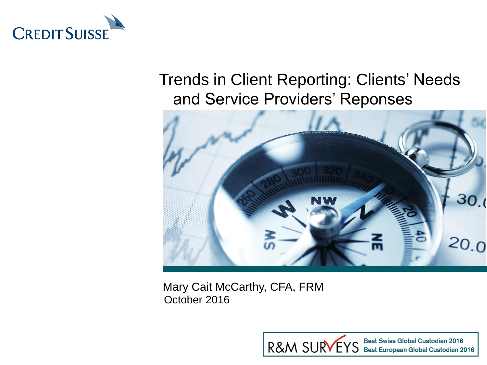

#### Trends in Client Reporting: Clients' Needs and Service Providers' Reponses



Mary Cait McCarthy, CFA, FRM October 2016

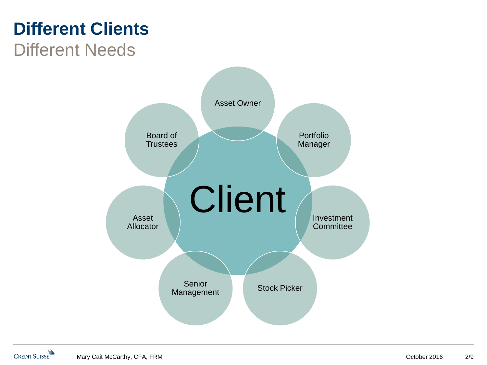## **Different Clients**

### Different Needs



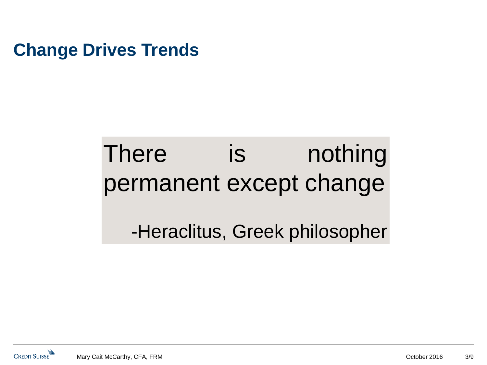**Change Drives Trends**

# There is nothing permanent except change

-Heraclitus, Greek philosopher

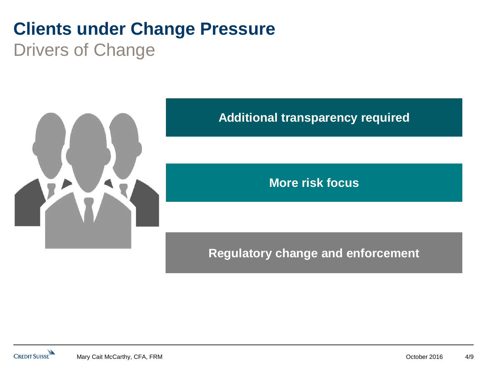#### **Clients under Change Pressure** Drivers of Change



#### **Additional transparency required**

**More risk focus**

**Regulatory change and enforcement**

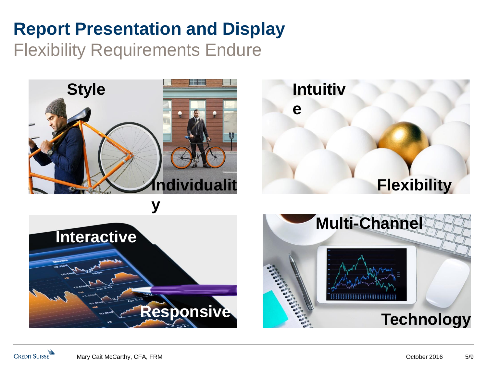### **Report Presentation and Display** Flexibility Requirements Endure



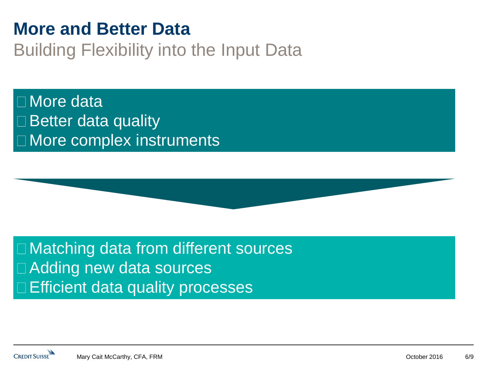#### **More and Better Data**

Building Flexibility into the Input Data

More data  $\square$  Better data quality □ More complex instruments



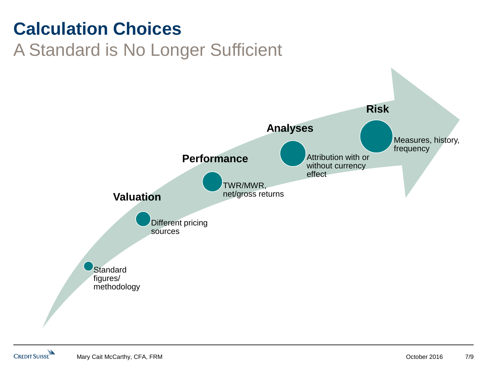#### **Calculation Choices**

#### A Standard is No Longer Sufficient



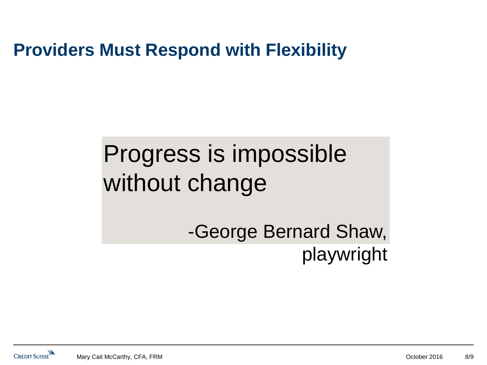**Providers Must Respond with Flexibility**

# Progress is impossible without change

-George Bernard Shaw, playwright